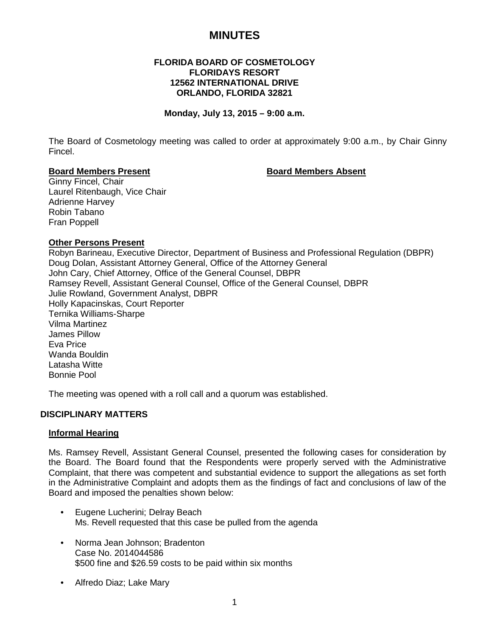# **MINUTES**

## **FLORIDA BOARD OF COSMETOLOGY FLORIDAYS RESORT 12562 INTERNATIONAL DRIVE ORLANDO, FLORIDA 32821**

## **Monday, July 13, 2015 – 9:00 a.m.**

The Board of Cosmetology meeting was called to order at approximately 9:00 a.m., by Chair Ginny Fincel.

#### **Board Members Present Board Members Absent**

Ginny Fincel, Chair Laurel Ritenbaugh, Vice Chair Adrienne Harvey Robin Tabano Fran Poppell

## **Other Persons Present**

Robyn Barineau, Executive Director, Department of Business and Professional Regulation (DBPR) Doug Dolan, Assistant Attorney General, Office of the Attorney General John Cary, Chief Attorney, Office of the General Counsel, DBPR Ramsey Revell, Assistant General Counsel, Office of the General Counsel, DBPR Julie Rowland, Government Analyst, DBPR Holly Kapacinskas, Court Reporter Ternika Williams-Sharpe Vilma Martinez James Pillow Eva Price Wanda Bouldin Latasha Witte Bonnie Pool

The meeting was opened with a roll call and a quorum was established.

## **DISCIPLINARY MATTERS**

#### **Informal Hearing**

Ms. Ramsey Revell, Assistant General Counsel, presented the following cases for consideration by the Board. The Board found that the Respondents were properly served with the Administrative Complaint, that there was competent and substantial evidence to support the allegations as set forth in the Administrative Complaint and adopts them as the findings of fact and conclusions of law of the Board and imposed the penalties shown below:

- Eugene Lucherini; Delray Beach Ms. Revell requested that this case be pulled from the agenda
- Norma Jean Johnson; Bradenton Case No. 2014044586 \$500 fine and \$26.59 costs to be paid within six months
- Alfredo Diaz; Lake Mary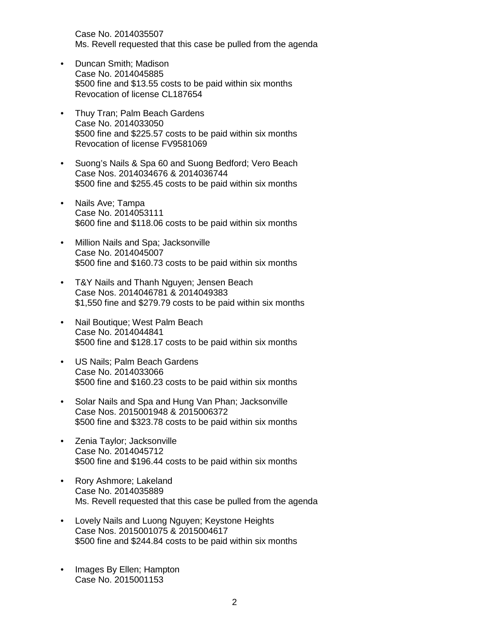Case No. 2014035507 Ms. Revell requested that this case be pulled from the agenda

- Duncan Smith; Madison Case No. 2014045885 \$500 fine and \$13.55 costs to be paid within six months Revocation of license CL187654
- Thuy Tran; Palm Beach Gardens Case No. 2014033050 \$500 fine and \$225.57 costs to be paid within six months Revocation of license FV9581069
- Suong's Nails & Spa 60 and Suong Bedford; Vero Beach Case Nos. 2014034676 & 2014036744 \$500 fine and \$255.45 costs to be paid within six months
- Nails Ave; Tampa Case No. 2014053111 \$600 fine and \$118.06 costs to be paid within six months
- Million Nails and Spa; Jacksonville Case No. 2014045007 \$500 fine and \$160.73 costs to be paid within six months
- T&Y Nails and Thanh Nguyen; Jensen Beach Case Nos. 2014046781 & 2014049383 \$1,550 fine and \$279.79 costs to be paid within six months
- Nail Boutique; West Palm Beach Case No. 2014044841 \$500 fine and \$128.17 costs to be paid within six months
- US Nails; Palm Beach Gardens Case No. 2014033066 \$500 fine and \$160.23 costs to be paid within six months
- Solar Nails and Spa and Hung Van Phan; Jacksonville Case Nos. 2015001948 & 2015006372 \$500 fine and \$323.78 costs to be paid within six months
- Zenia Taylor; Jacksonville Case No. 2014045712 \$500 fine and \$196.44 costs to be paid within six months
- Rory Ashmore; Lakeland Case No. 2014035889 Ms. Revell requested that this case be pulled from the agenda
- Lovely Nails and Luong Nguyen; Keystone Heights Case Nos. 2015001075 & 2015004617 \$500 fine and \$244.84 costs to be paid within six months
- Images By Ellen; Hampton Case No. 2015001153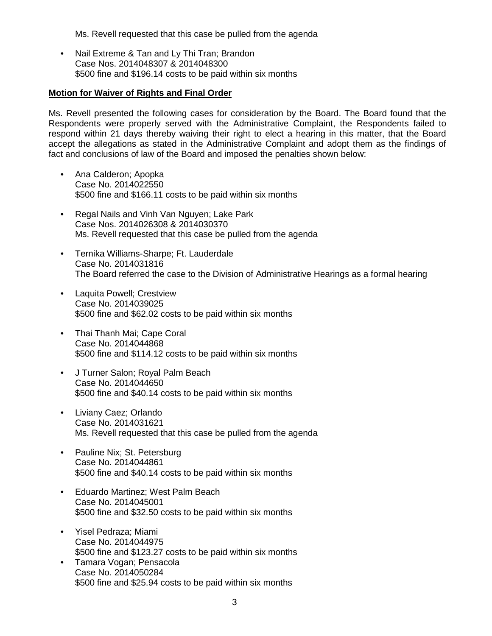Ms. Revell requested that this case be pulled from the agenda

• Nail Extreme & Tan and Ly Thi Tran; Brandon Case Nos. 2014048307 & 2014048300 \$500 fine and \$196.14 costs to be paid within six months

#### **Motion for Waiver of Rights and Final Order**

Ms. Revell presented the following cases for consideration by the Board. The Board found that the Respondents were properly served with the Administrative Complaint, the Respondents failed to respond within 21 days thereby waiving their right to elect a hearing in this matter, that the Board accept the allegations as stated in the Administrative Complaint and adopt them as the findings of fact and conclusions of law of the Board and imposed the penalties shown below:

- Ana Calderon; Apopka Case No. 2014022550 \$500 fine and \$166.11 costs to be paid within six months
- Regal Nails and Vinh Van Nguyen; Lake Park Case Nos. 2014026308 & 2014030370 Ms. Revell requested that this case be pulled from the agenda
- Ternika Williams-Sharpe; Ft. Lauderdale Case No. 2014031816 The Board referred the case to the Division of Administrative Hearings as a formal hearing
- Laquita Powell; Crestview Case No. 2014039025 \$500 fine and \$62.02 costs to be paid within six months
- Thai Thanh Mai; Cape Coral Case No. 2014044868 \$500 fine and \$114.12 costs to be paid within six months
- J Turner Salon; Royal Palm Beach Case No. 2014044650 \$500 fine and \$40.14 costs to be paid within six months
- Liviany Caez; Orlando Case No. 2014031621 Ms. Revell requested that this case be pulled from the agenda
- Pauline Nix; St. Petersburg Case No. 2014044861 \$500 fine and \$40.14 costs to be paid within six months
- Eduardo Martinez; West Palm Beach Case No. 2014045001 \$500 fine and \$32.50 costs to be paid within six months
- Yisel Pedraza; Miami Case No. 2014044975 \$500 fine and \$123.27 costs to be paid within six months
- Tamara Vogan; Pensacola Case No. 2014050284 \$500 fine and \$25.94 costs to be paid within six months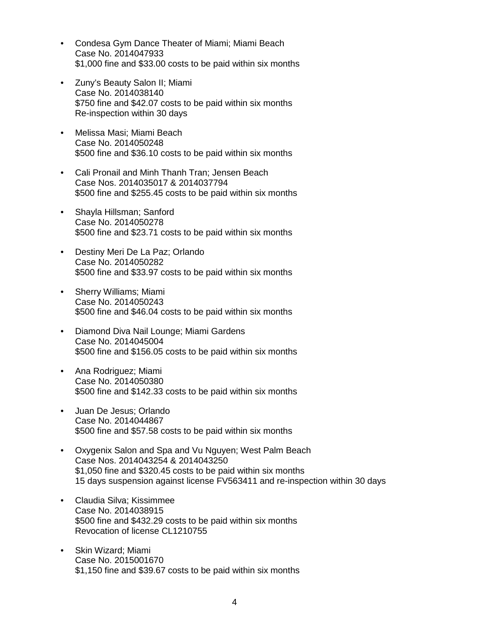- Condesa Gym Dance Theater of Miami; Miami Beach Case No. 2014047933 \$1,000 fine and \$33.00 costs to be paid within six months
- Zuny's Beauty Salon II; Miami Case No. 2014038140 \$750 fine and \$42.07 costs to be paid within six months Re-inspection within 30 days
- Melissa Masi; Miami Beach Case No. 2014050248 \$500 fine and \$36.10 costs to be paid within six months
- Cali Pronail and Minh Thanh Tran; Jensen Beach Case Nos. 2014035017 & 2014037794 \$500 fine and \$255.45 costs to be paid within six months
- Shayla Hillsman; Sanford Case No. 2014050278 \$500 fine and \$23.71 costs to be paid within six months
- Destiny Meri De La Paz; Orlando Case No. 2014050282 \$500 fine and \$33.97 costs to be paid within six months
- Sherry Williams; Miami Case No. 2014050243 \$500 fine and \$46.04 costs to be paid within six months
- Diamond Diva Nail Lounge; Miami Gardens Case No. 2014045004 \$500 fine and \$156.05 costs to be paid within six months
- Ana Rodriguez; Miami Case No. 2014050380 \$500 fine and \$142.33 costs to be paid within six months
- Juan De Jesus; Orlando Case No. 2014044867 \$500 fine and \$57.58 costs to be paid within six months
- Oxygenix Salon and Spa and Vu Nguyen; West Palm Beach Case Nos. 2014043254 & 2014043250 \$1,050 fine and \$320.45 costs to be paid within six months 15 days suspension against license FV563411 and re-inspection within 30 days
- Claudia Silva; Kissimmee Case No. 2014038915 \$500 fine and \$432.29 costs to be paid within six months Revocation of license CL1210755
- Skin Wizard; Miami Case No. 2015001670 \$1,150 fine and \$39.67 costs to be paid within six months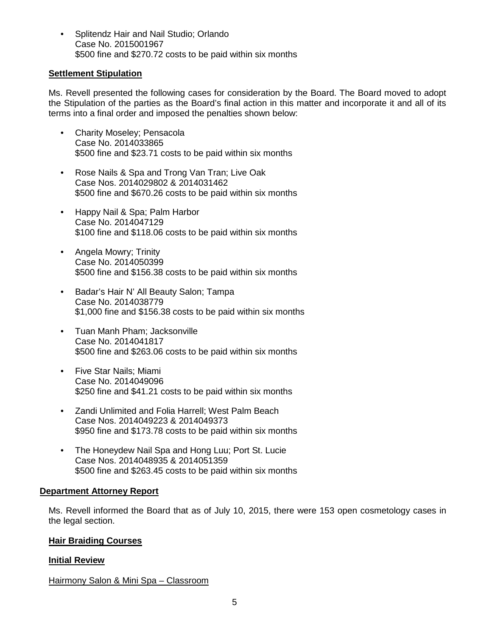• Splitendz Hair and Nail Studio; Orlando Case No. 2015001967 \$500 fine and \$270.72 costs to be paid within six months

## **Settlement Stipulation**

Ms. Revell presented the following cases for consideration by the Board. The Board moved to adopt the Stipulation of the parties as the Board's final action in this matter and incorporate it and all of its terms into a final order and imposed the penalties shown below:

- Charity Moseley; Pensacola Case No. 2014033865 \$500 fine and \$23.71 costs to be paid within six months
- Rose Nails & Spa and Trong Van Tran; Live Oak Case Nos. 2014029802 & 2014031462 \$500 fine and \$670.26 costs to be paid within six months
- Happy Nail & Spa; Palm Harbor Case No. 2014047129 \$100 fine and \$118.06 costs to be paid within six months
- Angela Mowry; Trinity Case No. 2014050399 \$500 fine and \$156.38 costs to be paid within six months
- Badar's Hair N' All Beauty Salon; Tampa Case No. 2014038779 \$1,000 fine and \$156.38 costs to be paid within six months
- Tuan Manh Pham; Jacksonville Case No. 2014041817 \$500 fine and \$263.06 costs to be paid within six months
- Five Star Nails; Miami Case No. 2014049096 \$250 fine and \$41.21 costs to be paid within six months
- Zandi Unlimited and Folia Harrell; West Palm Beach Case Nos. 2014049223 & 2014049373 \$950 fine and \$173.78 costs to be paid within six months
- The Honeydew Nail Spa and Hong Luu; Port St. Lucie Case Nos. 2014048935 & 2014051359 \$500 fine and \$263.45 costs to be paid within six months

## **Department Attorney Report**

Ms. Revell informed the Board that as of July 10, 2015, there were 153 open cosmetology cases in the legal section.

## **Hair Braiding Courses**

## **Initial Review**

Hairmony Salon & Mini Spa – Classroom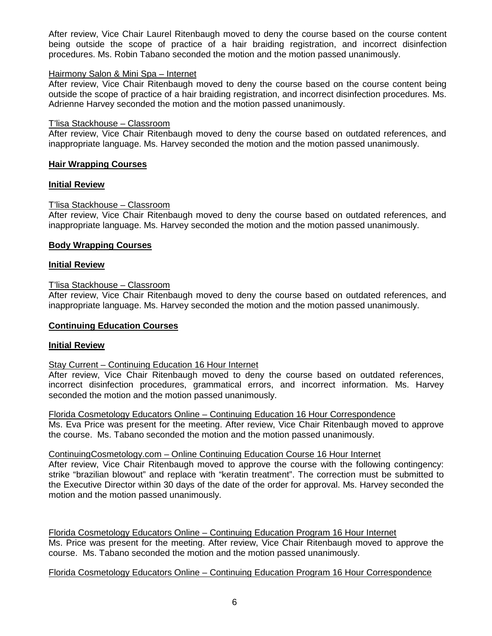After review, Vice Chair Laurel Ritenbaugh moved to deny the course based on the course content being outside the scope of practice of a hair braiding registration, and incorrect disinfection procedures. Ms. Robin Tabano seconded the motion and the motion passed unanimously.

### Hairmony Salon & Mini Spa – Internet

After review, Vice Chair Ritenbaugh moved to deny the course based on the course content being outside the scope of practice of a hair braiding registration, and incorrect disinfection procedures. Ms. Adrienne Harvey seconded the motion and the motion passed unanimously.

### T'lisa Stackhouse – Classroom

After review, Vice Chair Ritenbaugh moved to deny the course based on outdated references, and inappropriate language. Ms. Harvey seconded the motion and the motion passed unanimously.

## **Hair Wrapping Courses**

## **Initial Review**

## T'lisa Stackhouse – Classroom

After review, Vice Chair Ritenbaugh moved to deny the course based on outdated references, and inappropriate language. Ms. Harvey seconded the motion and the motion passed unanimously.

## **Body Wrapping Courses**

#### **Initial Review**

## T'lisa Stackhouse – Classroom

After review, Vice Chair Ritenbaugh moved to deny the course based on outdated references, and inappropriate language. Ms. Harvey seconded the motion and the motion passed unanimously.

#### **Continuing Education Courses**

#### **Initial Review**

### Stay Current – Continuing Education 16 Hour Internet

After review, Vice Chair Ritenbaugh moved to deny the course based on outdated references, incorrect disinfection procedures, grammatical errors, and incorrect information. Ms. Harvey seconded the motion and the motion passed unanimously.

Florida Cosmetology Educators Online – Continuing Education 16 Hour Correspondence Ms. Eva Price was present for the meeting. After review, Vice Chair Ritenbaugh moved to approve the course. Ms. Tabano seconded the motion and the motion passed unanimously.

#### ContinuingCosmetology.com – Online Continuing Education Course 16 Hour Internet

After review, Vice Chair Ritenbaugh moved to approve the course with the following contingency: strike "brazilian blowout" and replace with "keratin treatment". The correction must be submitted to the Executive Director within 30 days of the date of the order for approval. Ms. Harvey seconded the motion and the motion passed unanimously.

Florida Cosmetology Educators Online – Continuing Education Program 16 Hour Internet Ms. Price was present for the meeting. After review, Vice Chair Ritenbaugh moved to approve the course. Ms. Tabano seconded the motion and the motion passed unanimously.

## Florida Cosmetology Educators Online – Continuing Education Program 16 Hour Correspondence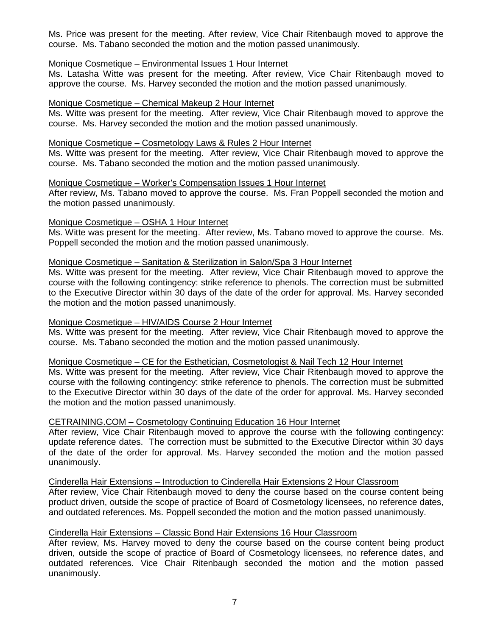Ms. Price was present for the meeting. After review, Vice Chair Ritenbaugh moved to approve the course. Ms. Tabano seconded the motion and the motion passed unanimously.

## Monique Cosmetique – Environmental Issues 1 Hour Internet

Ms. Latasha Witte was present for the meeting. After review, Vice Chair Ritenbaugh moved to approve the course. Ms. Harvey seconded the motion and the motion passed unanimously.

## Monique Cosmetique – Chemical Makeup 2 Hour Internet

Ms. Witte was present for the meeting. After review, Vice Chair Ritenbaugh moved to approve the course. Ms. Harvey seconded the motion and the motion passed unanimously.

### Monique Cosmetique – Cosmetology Laws & Rules 2 Hour Internet

Ms. Witte was present for the meeting. After review, Vice Chair Ritenbaugh moved to approve the course. Ms. Tabano seconded the motion and the motion passed unanimously.

## Monique Cosmetique – Worker's Compensation Issues 1 Hour Internet

After review, Ms. Tabano moved to approve the course. Ms. Fran Poppell seconded the motion and the motion passed unanimously.

## Monique Cosmetique – OSHA 1 Hour Internet

Ms. Witte was present for the meeting. After review, Ms. Tabano moved to approve the course. Ms. Poppell seconded the motion and the motion passed unanimously.

## Monique Cosmetique – Sanitation & Sterilization in Salon/Spa 3 Hour Internet

Ms. Witte was present for the meeting. After review, Vice Chair Ritenbaugh moved to approve the course with the following contingency: strike reference to phenols. The correction must be submitted to the Executive Director within 30 days of the date of the order for approval. Ms. Harvey seconded the motion and the motion passed unanimously.

## Monique Cosmetique – HIV/AIDS Course 2 Hour Internet

Ms. Witte was present for the meeting. After review, Vice Chair Ritenbaugh moved to approve the course. Ms. Tabano seconded the motion and the motion passed unanimously.

#### Monique Cosmetique – CE for the Esthetician, Cosmetologist & Nail Tech 12 Hour Internet

Ms. Witte was present for the meeting. After review, Vice Chair Ritenbaugh moved to approve the course with the following contingency: strike reference to phenols. The correction must be submitted to the Executive Director within 30 days of the date of the order for approval. Ms. Harvey seconded the motion and the motion passed unanimously.

## CETRAINING.COM – Cosmetology Continuing Education 16 Hour Internet

After review, Vice Chair Ritenbaugh moved to approve the course with the following contingency: update reference dates. The correction must be submitted to the Executive Director within 30 days of the date of the order for approval. Ms. Harvey seconded the motion and the motion passed unanimously.

Cinderella Hair Extensions – Introduction to Cinderella Hair Extensions 2 Hour Classroom

After review, Vice Chair Ritenbaugh moved to deny the course based on the course content being product driven, outside the scope of practice of Board of Cosmetology licensees, no reference dates, and outdated references. Ms. Poppell seconded the motion and the motion passed unanimously.

## Cinderella Hair Extensions – Classic Bond Hair Extensions 16 Hour Classroom

After review, Ms. Harvey moved to deny the course based on the course content being product driven, outside the scope of practice of Board of Cosmetology licensees, no reference dates, and outdated references. Vice Chair Ritenbaugh seconded the motion and the motion passed unanimously.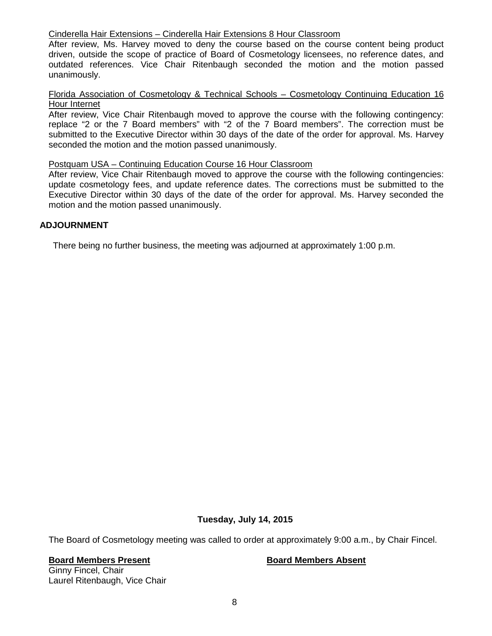## Cinderella Hair Extensions – Cinderella Hair Extensions 8 Hour Classroom

After review, Ms. Harvey moved to deny the course based on the course content being product driven, outside the scope of practice of Board of Cosmetology licensees, no reference dates, and outdated references. Vice Chair Ritenbaugh seconded the motion and the motion passed unanimously.

## Florida Association of Cosmetology & Technical Schools – Cosmetology Continuing Education 16 Hour Internet

After review, Vice Chair Ritenbaugh moved to approve the course with the following contingency: replace "2 or the 7 Board members" with "2 of the 7 Board members". The correction must be submitted to the Executive Director within 30 days of the date of the order for approval. Ms. Harvey seconded the motion and the motion passed unanimously.

#### Postquam USA – Continuing Education Course 16 Hour Classroom

After review, Vice Chair Ritenbaugh moved to approve the course with the following contingencies: update cosmetology fees, and update reference dates. The corrections must be submitted to the Executive Director within 30 days of the date of the order for approval. Ms. Harvey seconded the motion and the motion passed unanimously.

## **ADJOURNMENT**

There being no further business, the meeting was adjourned at approximately 1:00 p.m.

## **Tuesday, July 14, 2015**

The Board of Cosmetology meeting was called to order at approximately 9:00 a.m., by Chair Fincel.

#### **Board Members Present Board Members Absent**

Ginny Fincel, Chair Laurel Ritenbaugh, Vice Chair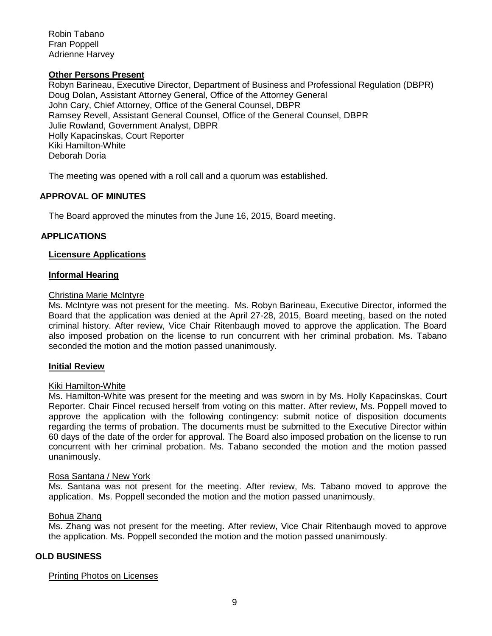Robin Tabano Fran Poppell Adrienne Harvey

#### **Other Persons Present**

Robyn Barineau, Executive Director, Department of Business and Professional Regulation (DBPR) Doug Dolan, Assistant Attorney General, Office of the Attorney General John Cary, Chief Attorney, Office of the General Counsel, DBPR Ramsey Revell, Assistant General Counsel, Office of the General Counsel, DBPR Julie Rowland, Government Analyst, DBPR Holly Kapacinskas, Court Reporter Kiki Hamilton-White Deborah Doria

The meeting was opened with a roll call and a quorum was established.

## **APPROVAL OF MINUTES**

The Board approved the minutes from the June 16, 2015, Board meeting.

## **APPLICATIONS**

#### **Licensure Applications**

#### **Informal Hearing**

#### Christina Marie McIntyre

Ms. McIntyre was not present for the meeting. Ms. Robyn Barineau, Executive Director, informed the Board that the application was denied at the April 27-28, 2015, Board meeting, based on the noted criminal history. After review, Vice Chair Ritenbaugh moved to approve the application. The Board also imposed probation on the license to run concurrent with her criminal probation. Ms. Tabano seconded the motion and the motion passed unanimously.

#### **Initial Review**

#### Kiki Hamilton-White

Ms. Hamilton-White was present for the meeting and was sworn in by Ms. Holly Kapacinskas, Court Reporter. Chair Fincel recused herself from voting on this matter. After review, Ms. Poppell moved to approve the application with the following contingency: submit notice of disposition documents regarding the terms of probation. The documents must be submitted to the Executive Director within 60 days of the date of the order for approval. The Board also imposed probation on the license to run concurrent with her criminal probation. Ms. Tabano seconded the motion and the motion passed unanimously.

#### Rosa Santana / New York

Ms. Santana was not present for the meeting. After review, Ms. Tabano moved to approve the application. Ms. Poppell seconded the motion and the motion passed unanimously.

### Bohua Zhang

Ms. Zhang was not present for the meeting. After review, Vice Chair Ritenbaugh moved to approve the application. Ms. Poppell seconded the motion and the motion passed unanimously.

## **OLD BUSINESS**

#### Printing Photos on Licenses